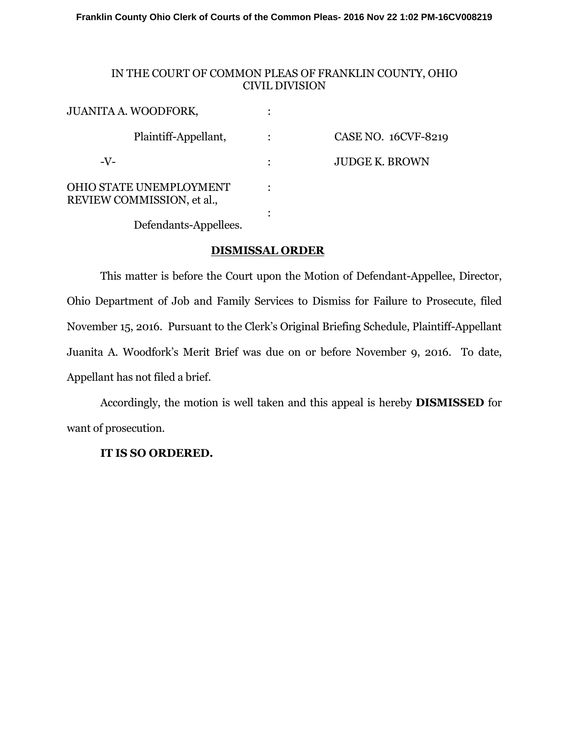**Franklin County Ohio Clerk of Courts of the Common Pleas- 2016 Nov 22 1:02 PM-16CV008219**

## IN THE COURT OF COMMON PLEAS OF FRANKLIN COUNTY, OHIO CIVIL DIVISION

| <b>JUANITA A. WOODFORK,</b>                           |                       |
|-------------------------------------------------------|-----------------------|
| Plaintiff-Appellant,                                  | CASE NO. 16CVF-8219   |
| $-V-$                                                 | <b>JUDGE K. BROWN</b> |
| OHIO STATE UNEMPLOYMENT<br>REVIEW COMMISSION, et al., |                       |
|                                                       |                       |

Defendants-Appellees.

## **DISMISSAL ORDER**

 This matter is before the Court upon the Motion of Defendant-Appellee, Director, Ohio Department of Job and Family Services to Dismiss for Failure to Prosecute, filed November 15, 2016. Pursuant to the Clerk's Original Briefing Schedule, Plaintiff-Appellant Juanita A. Woodfork's Merit Brief was due on or before November 9, 2016. To date, Appellant has not filed a brief.

 Accordingly, the motion is well taken and this appeal is hereby **DISMISSED** for want of prosecution.

## **IT IS SO ORDERED.**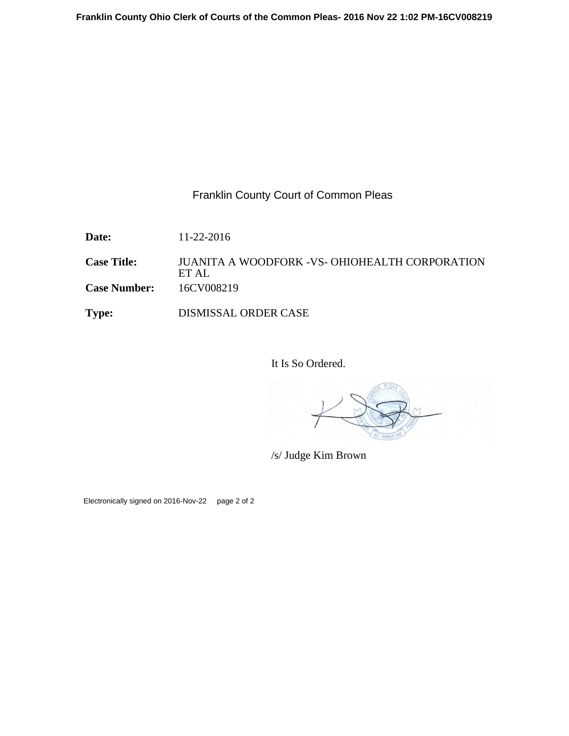## Franklin County Court of Common Pleas

**Date:** 11-22-2016

**Case Title:** JUANITA A WOODFORK -VS- OHIOHEALTH CORPORATION ET AL **Case Number:** 16CV008219

**Type:** DISMISSAL ORDER CASE

It Is So Ordered.

/s/ Judge Kim Brown

Electronically signed on 2016-Nov-22 page 2 of 2